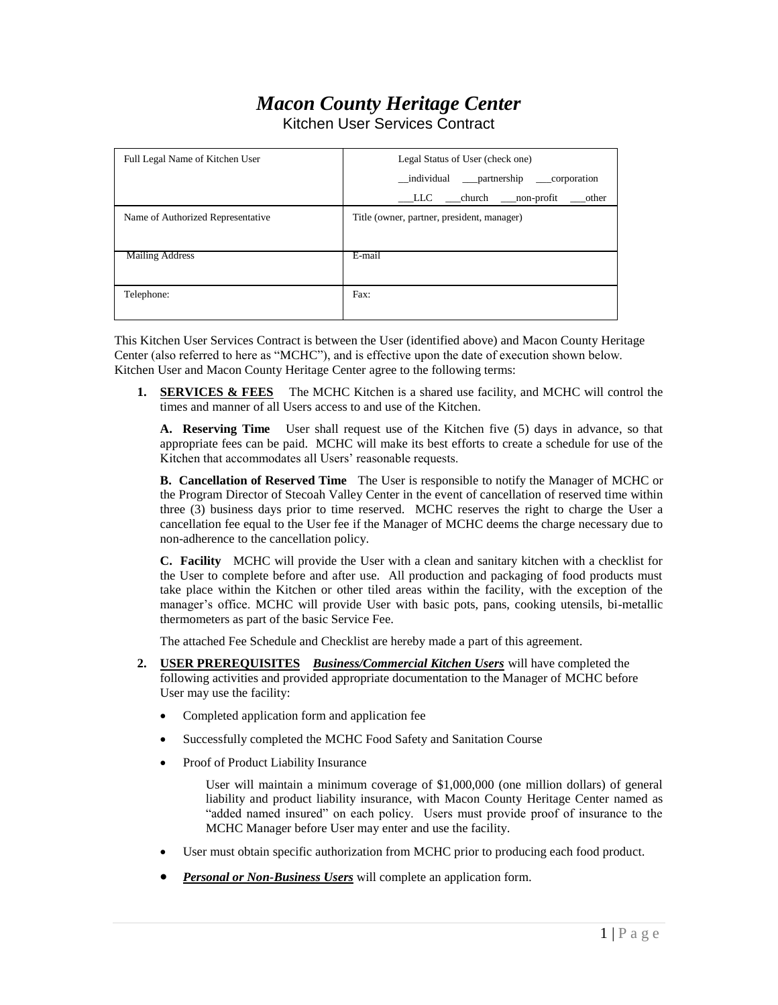## *Macon County Heritage Center*

Kitchen User Services Contract

| Full Legal Name of Kitchen User   | Legal Status of User (check one)              |  |  |
|-----------------------------------|-----------------------------------------------|--|--|
|                                   | _individual __partnership __corporation       |  |  |
|                                   | _____ church _____ non-profit<br>LLC<br>other |  |  |
| Name of Authorized Representative | Title (owner, partner, president, manager)    |  |  |
|                                   |                                               |  |  |
| <b>Mailing Address</b>            | E-mail                                        |  |  |
|                                   |                                               |  |  |
| Telephone:                        | Fax:                                          |  |  |
|                                   |                                               |  |  |

This Kitchen User Services Contract is between the User (identified above) and Macon County Heritage Center (also referred to here as "MCHC"), and is effective upon the date of execution shown below. Kitchen User and Macon County Heritage Center agree to the following terms:

**1. SERVICES & FEES** The MCHC Kitchen is a shared use facility, and MCHC will control the times and manner of all Users access to and use of the Kitchen.

**A. Reserving Time** User shall request use of the Kitchen five (5) days in advance, so that appropriate fees can be paid. MCHC will make its best efforts to create a schedule for use of the Kitchen that accommodates all Users' reasonable requests.

**B. Cancellation of Reserved Time** The User is responsible to notify the Manager of MCHC or the Program Director of Stecoah Valley Center in the event of cancellation of reserved time within three (3) business days prior to time reserved. MCHC reserves the right to charge the User a cancellation fee equal to the User fee if the Manager of MCHC deems the charge necessary due to non-adherence to the cancellation policy.

**C. Facility** MCHC will provide the User with a clean and sanitary kitchen with a checklist for the User to complete before and after use. All production and packaging of food products must take place within the Kitchen or other tiled areas within the facility, with the exception of the manager's office. MCHC will provide User with basic pots, pans, cooking utensils, bi-metallic thermometers as part of the basic Service Fee.

The attached Fee Schedule and Checklist are hereby made a part of this agreement.

- **2. USER PREREQUISITES** *Business/Commercial Kitchen Users* will have completed the following activities and provided appropriate documentation to the Manager of MCHC before User may use the facility:
	- Completed application form and application fee
	- Successfully completed the MCHC Food Safety and Sanitation Course
	- Proof of Product Liability Insurance

User will maintain a minimum coverage of \$1,000,000 (one million dollars) of general liability and product liability insurance, with Macon County Heritage Center named as "added named insured" on each policy. Users must provide proof of insurance to the MCHC Manager before User may enter and use the facility.

- User must obtain specific authorization from MCHC prior to producing each food product.
- *Personal or Non-Business Users* will complete an application form.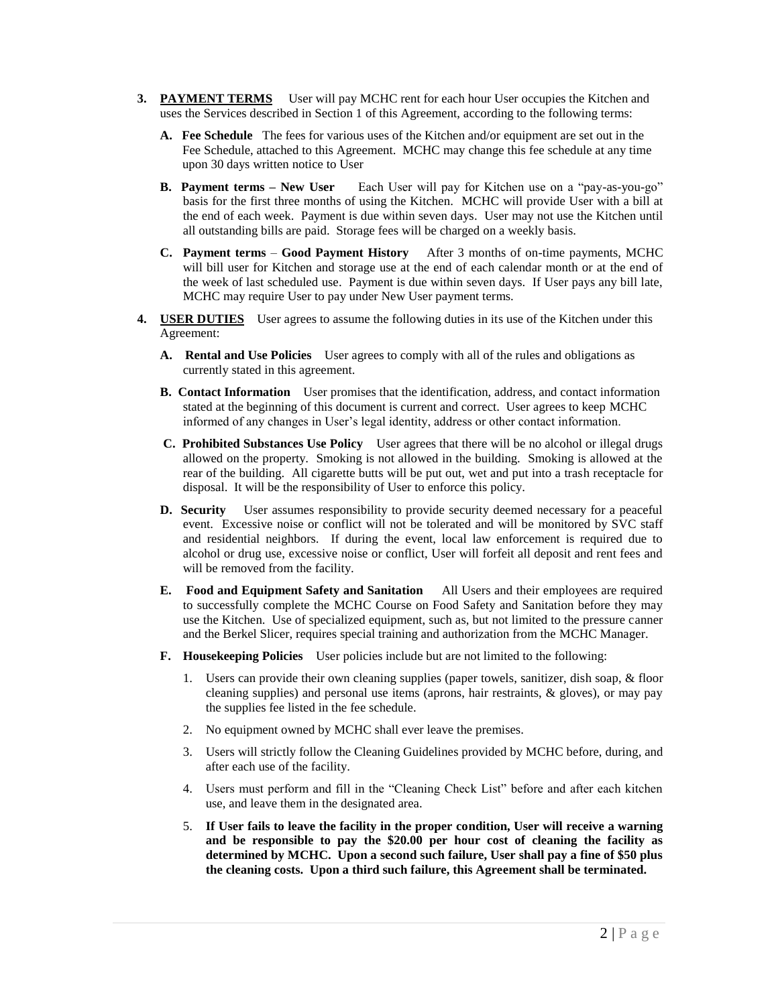- **3. PAYMENT TERMS** User will pay MCHC rent for each hour User occupies the Kitchen and uses the Services described in Section 1 of this Agreement, according to the following terms:
	- **A. Fee Schedule** The fees for various uses of the Kitchen and/or equipment are set out in the Fee Schedule, attached to this Agreement. MCHC may change this fee schedule at any time upon 30 days written notice to User
	- **B. Payment terms – New User** Each User will pay for Kitchen use on a "pay-as-you-go" basis for the first three months of using the Kitchen. MCHC will provide User with a bill at the end of each week. Payment is due within seven days. User may not use the Kitchen until all outstanding bills are paid. Storage fees will be charged on a weekly basis.
	- **C. Payment terms Good Payment History** After 3 months of on-time payments, MCHC will bill user for Kitchen and storage use at the end of each calendar month or at the end of the week of last scheduled use. Payment is due within seven days. If User pays any bill late, MCHC may require User to pay under New User payment terms.
- **4. USER DUTIES** User agrees to assume the following duties in its use of the Kitchen under this Agreement:
	- **A. Rental and Use Policies** User agrees to comply with all of the rules and obligations as currently stated in this agreement.
	- **B. Contact Information** User promises that the identification, address, and contact information stated at the beginning of this document is current and correct. User agrees to keep MCHC informed of any changes in User's legal identity, address or other contact information.
	- **C. Prohibited Substances Use Policy** User agrees that there will be no alcohol or illegal drugs allowed on the property. Smoking is not allowed in the building. Smoking is allowed at the rear of the building. All cigarette butts will be put out, wet and put into a trash receptacle for disposal. It will be the responsibility of User to enforce this policy.
	- **D. Security** User assumes responsibility to provide security deemed necessary for a peaceful event. Excessive noise or conflict will not be tolerated and will be monitored by SVC staff and residential neighbors. If during the event, local law enforcement is required due to alcohol or drug use, excessive noise or conflict, User will forfeit all deposit and rent fees and will be removed from the facility.
	- **E. Food and Equipment Safety and Sanitation** All Users and their employees are required to successfully complete the MCHC Course on Food Safety and Sanitation before they may use the Kitchen. Use of specialized equipment, such as, but not limited to the pressure canner and the Berkel Slicer, requires special training and authorization from the MCHC Manager.
	- **F. Housekeeping Policies** User policies include but are not limited to the following:
		- 1. Users can provide their own cleaning supplies (paper towels, sanitizer, dish soap, & floor cleaning supplies) and personal use items (aprons, hair restraints, & gloves), or may pay the supplies fee listed in the fee schedule.
		- 2. No equipment owned by MCHC shall ever leave the premises.
		- 3. Users will strictly follow the Cleaning Guidelines provided by MCHC before, during, and after each use of the facility.
		- 4. Users must perform and fill in the "Cleaning Check List" before and after each kitchen use, and leave them in the designated area.
		- 5. **If User fails to leave the facility in the proper condition, User will receive a warning and be responsible to pay the \$20.00 per hour cost of cleaning the facility as determined by MCHC. Upon a second such failure, User shall pay a fine of \$50 plus the cleaning costs. Upon a third such failure, this Agreement shall be terminated.**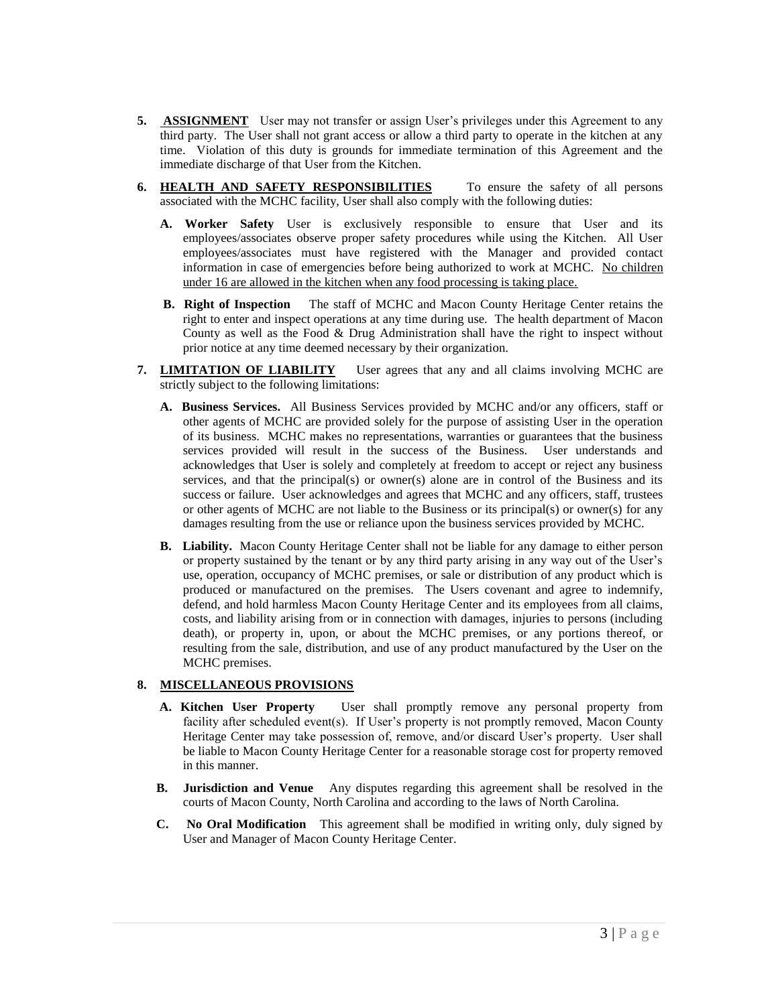- **5. ASSIGNMENT** User may not transfer or assign User's privileges under this Agreement to any third party. The User shall not grant access or allow a third party to operate in the kitchen at any time. Violation of this duty is grounds for immediate termination of this Agreement and the immediate discharge of that User from the Kitchen.
- **6. HEALTH AND SAFETY RESPONSIBILITIES** To ensure the safety of all persons associated with the MCHC facility, User shall also comply with the following duties:
	- **A. Worker Safety** User is exclusively responsible to ensure that User and its employees/associates observe proper safety procedures while using the Kitchen. All User employees/associates must have registered with the Manager and provided contact information in case of emergencies before being authorized to work at MCHC. No children under 16 are allowed in the kitchen when any food processing is taking place.
	- **B. Right of Inspection** The staff of MCHC and Macon County Heritage Center retains the right to enter and inspect operations at any time during use. The health department of Macon County as well as the Food & Drug Administration shall have the right to inspect without prior notice at any time deemed necessary by their organization.
- **7. LIMITATION OF LIABILITY** User agrees that any and all claims involving MCHC are strictly subject to the following limitations:
	- **A. Business Services.** All Business Services provided by MCHC and/or any officers, staff or other agents of MCHC are provided solely for the purpose of assisting User in the operation of its business. MCHC makes no representations, warranties or guarantees that the business services provided will result in the success of the Business. User understands and acknowledges that User is solely and completely at freedom to accept or reject any business services, and that the principal(s) or owner(s) alone are in control of the Business and its success or failure. User acknowledges and agrees that MCHC and any officers, staff, trustees or other agents of MCHC are not liable to the Business or its principal(s) or owner(s) for any damages resulting from the use or reliance upon the business services provided by MCHC.
	- **B. Liability.** Macon County Heritage Center shall not be liable for any damage to either person or property sustained by the tenant or by any third party arising in any way out of the User's use, operation, occupancy of MCHC premises, or sale or distribution of any product which is produced or manufactured on the premises. The Users covenant and agree to indemnify, defend, and hold harmless Macon County Heritage Center and its employees from all claims, costs, and liability arising from or in connection with damages, injuries to persons (including death), or property in, upon, or about the MCHC premises, or any portions thereof, or resulting from the sale, distribution, and use of any product manufactured by the User on the MCHC premises.

## **8. MISCELLANEOUS PROVISIONS**

- **A. Kitchen User Property** User shall promptly remove any personal property from facility after scheduled event(s). If User's property is not promptly removed, Macon County Heritage Center may take possession of, remove, and/or discard User's property. User shall be liable to Macon County Heritage Center for a reasonable storage cost for property removed in this manner.
- **B. Jurisdiction and Venue** Any disputes regarding this agreement shall be resolved in the courts of Macon County, North Carolina and according to the laws of North Carolina.
- **C. No Oral Modification** This agreement shall be modified in writing only, duly signed by User and Manager of Macon County Heritage Center.